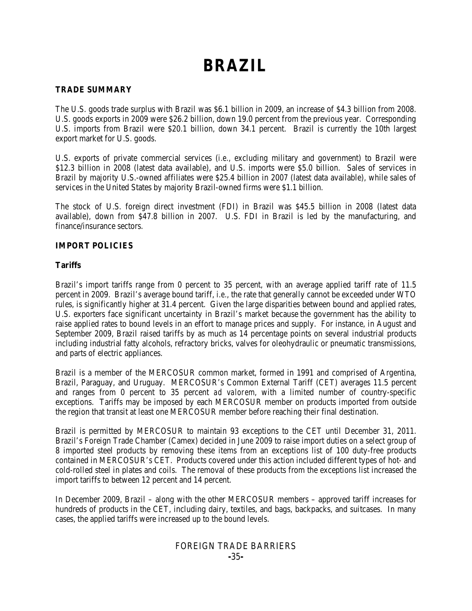# **BRAZIL**

# **TRADE SUMMARY**

The U.S. goods trade surplus with Brazil was \$6.1 billion in 2009, an increase of \$4.3 billion from 2008. U.S. goods exports in 2009 were \$26.2 billion, down 19.0 percent from the previous year. Corresponding U.S. imports from Brazil were \$20.1 billion, down 34.1 percent. Brazil is currently the 10th largest export market for U.S. goods.

U.S. exports of private commercial services (*i.e.*, excluding military and government) to Brazil were \$12.3 billion in 2008 (latest data available), and U.S. imports were \$5.0 billion. Sales of services in Brazil by majority U.S.-owned affiliates were \$25.4 billion in 2007 (latest data available), while sales of services in the United States by majority Brazil-owned firms were \$1.1 billion.

The stock of U.S. foreign direct investment (FDI) in Brazil was \$45.5 billion in 2008 (latest data available), down from \$47.8 billion in 2007. U.S. FDI in Brazil is led by the manufacturing, and finance/insurance sectors.

# **IMPORT POLICIES**

# **Tariffs**

Brazil's import tariffs range from 0 percent to 35 percent, with an average applied tariff rate of 11.5 percent in 2009. Brazil's average bound tariff, *i.e.*, the rate that generally cannot be exceeded under WTO rules, is significantly higher at 31.4 percent. Given the large disparities between bound and applied rates, U.S. exporters face significant uncertainty in Brazil's market because the government has the ability to raise applied rates to bound levels in an effort to manage prices and supply. For instance, in August and September 2009, Brazil raised tariffs by as much as 14 percentage points on several industrial products including industrial fatty alcohols, refractory bricks, valves for oleohydraulic or pneumatic transmissions, and parts of electric appliances.

Brazil is a member of the MERCOSUR common market, formed in 1991 and comprised of Argentina, Brazil, Paraguay, and Uruguay. MERCOSUR's Common External Tariff (CET) averages 11.5 percent and ranges from 0 percent to 35 percent *ad valorem*, with a limited number of country-specific exceptions. Tariffs may be imposed by each MERCOSUR member on products imported from outside the region that transit at least one MERCOSUR member before reaching their final destination.

Brazil is permitted by MERCOSUR to maintain 93 exceptions to the CET until December 31, 2011. Brazil's Foreign Trade Chamber (Camex) decided in June 2009 to raise import duties on a select group of 8 imported steel products by removing these items from an exceptions list of 100 duty-free products contained in MERCOSUR's CET. Products covered under this action included different types of hot- and cold-rolled steel in plates and coils. The removal of these products from the exceptions list increased the import tariffs to between 12 percent and 14 percent.

In December 2009, Brazil – along with the other MERCOSUR members – approved tariff increases for hundreds of products in the CET, including dairy, textiles, and bags, backpacks, and suitcases. In many cases, the applied tariffs were increased up to the bound levels.

# FOREIGN TRADE BARRIERS **-**35**-**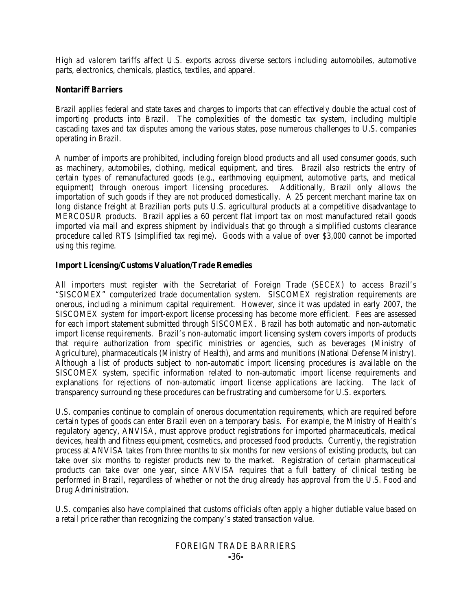High *ad valorem* tariffs affect U.S. exports across diverse sectors including automobiles, automotive parts, electronics, chemicals, plastics, textiles, and apparel.

#### **Nontariff Barriers**

Brazil applies federal and state taxes and charges to imports that can effectively double the actual cost of importing products into Brazil. The complexities of the domestic tax system, including multiple cascading taxes and tax disputes among the various states, pose numerous challenges to U.S. companies operating in Brazil.

A number of imports are prohibited, including foreign blood products and all used consumer goods, such as machinery, automobiles, clothing, medical equipment, and tires. Brazil also restricts the entry of certain types of remanufactured goods (*e.g.*, earthmoving equipment, automotive parts, and medical equipment) through onerous import licensing procedures. importation of such goods if they are not produced domestically. A 25 percent merchant marine tax on long distance freight at Brazilian ports puts U.S. agricultural products at a competitive disadvantage to MERCOSUR products. Brazil applies a 60 percent flat import tax on most manufactured retail goods imported via mail and express shipment by individuals that go through a simplified customs clearance procedure called RTS (simplified tax regime). Goods with a value of over \$3,000 cannot be imported using this regime.

#### **Import Licensing/Customs Valuation/Trade Remedies**

All importers must register with the Secretariat of Foreign Trade (SECEX) to access Brazil's "SISCOMEX" computerized trade documentation system. SISCOMEX registration requirements are onerous, including a minimum capital requirement. However, since it was updated in early 2007, the SISCOMEX system for import-export license processing has become more efficient. Fees are assessed for each import statement submitted through SISCOMEX. Brazil has both automatic and non-automatic import license requirements. Brazil's non-automatic import licensing system covers imports of products that require authorization from specific ministries or agencies, such as beverages (Ministry of Agriculture), pharmaceuticals (Ministry of Health), and arms and munitions (National Defense Ministry). Although a list of products subject to non-automatic import licensing procedures is available on the SISCOMEX system, specific information related to non-automatic import license requirements and explanations for rejections of non-automatic import license applications are lacking. The lack of transparency surrounding these procedures can be frustrating and cumbersome for U.S. exporters.

U.S. companies continue to complain of onerous documentation requirements, which are required before certain types of goods can enter Brazil even on a temporary basis. For example, the Ministry of Health's regulatory agency, ANVISA, must approve product registrations for imported pharmaceuticals, medical devices, health and fitness equipment, cosmetics, and processed food products. Currently, the registration process at ANVISA takes from three months to six months for new versions of existing products, but can take over six months to register products new to the market. Registration of certain pharmaceutical products can take over one year, since ANVISA requires that a full battery of clinical testing be performed in Brazil, regardless of whether or not the drug already has approval from the U.S. Food and Drug Administration.

U.S. companies also have complained that customs officials often apply a higher dutiable value based on a retail price rather than recognizing the company's stated transaction value.

# FOREIGN TRADE BARRIERS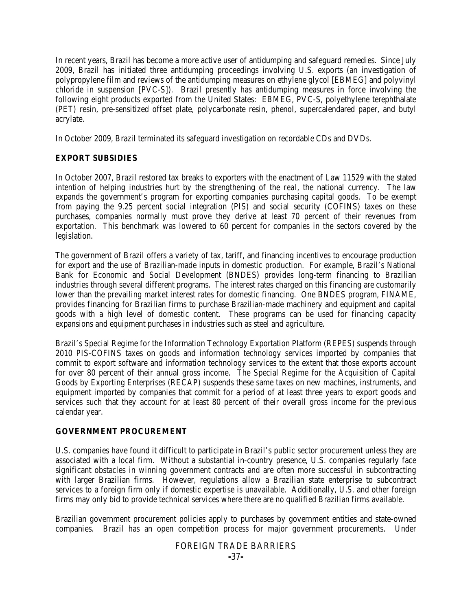In recent years, Brazil has become a more active user of antidumping and safeguard remedies. Since July 2009, Brazil has initiated three antidumping proceedings involving U.S. exports (an investigation of polypropylene film and reviews of the antidumping measures on ethylene glycol [EBMEG] and polyvinyl chloride in suspension [PVC-S]). Brazil presently has antidumping measures in force involving the following eight products exported from the United States: EBMEG, PVC-S, polyethylene terephthalate (PET) resin, pre-sensitized offset plate, polycarbonate resin, phenol, supercalendared paper, and butyl acrylate.

In October 2009, Brazil terminated its safeguard investigation on recordable CDs and DVDs.

#### **EXPORT SUBSIDIES**

In October 2007, Brazil restored tax breaks to exporters with the enactment of Law 11529 with the stated intention of helping industries hurt by the strengthening of the *real*, the national currency. The law expands the government's program for exporting companies purchasing capital goods. To be exempt from paying the 9.25 percent social integration (PIS) and social security (COFINS) taxes on these purchases, companies normally must prove they derive at least 70 percent of their revenues from exportation. This benchmark was lowered to 60 percent for companies in the sectors covered by the legislation.

The government of Brazil offers a variety of tax, tariff, and financing incentives to encourage production for export and the use of Brazilian-made inputs in domestic production. For example, Brazil's National Bank for Economic and Social Development (BNDES) provides long-term financing to Brazilian industries through several different programs. The interest rates charged on this financing are customarily lower than the prevailing market interest rates for domestic financing. One BNDES program, FINAME, provides financing for Brazilian firms to purchase Brazilian-made machinery and equipment and capital goods with a high level of domestic content. These programs can be used for financing capacity expansions and equipment purchases in industries such as steel and agriculture.

Brazil's Special Regime for the Information Technology Exportation Platform (REPES) suspends through 2010 PIS-COFINS taxes on goods and information technology services imported by companies that commit to export software and information technology services to the extent that those exports account for over 80 percent of their annual gross income. The Special Regime for the Acquisition of Capital Goods by Exporting Enterprises (RECAP) suspends these same taxes on new machines, instruments, and equipment imported by companies that commit for a period of at least three years to export goods and services such that they account for at least 80 percent of their overall gross income for the previous calendar year.

#### **GOVERNMENT PROCUREMENT**

U.S. companies have found it difficult to participate in Brazil's public sector procurement unless they are associated with a local firm. Without a substantial in-country presence, U.S. companies regularly face significant obstacles in winning government contracts and are often more successful in subcontracting with larger Brazilian firms. However, regulations allow a Brazilian state enterprise to subcontract services to a foreign firm only if domestic expertise is unavailable. Additionally, U.S. and other foreign firms may only bid to provide technical services where there are no qualified Brazilian firms available.

Brazilian government procurement policies apply to purchases by government entities and state-owned companies. Brazil has an open competition process for major government procurements. Under

# FOREIGN TRADE BARRIERS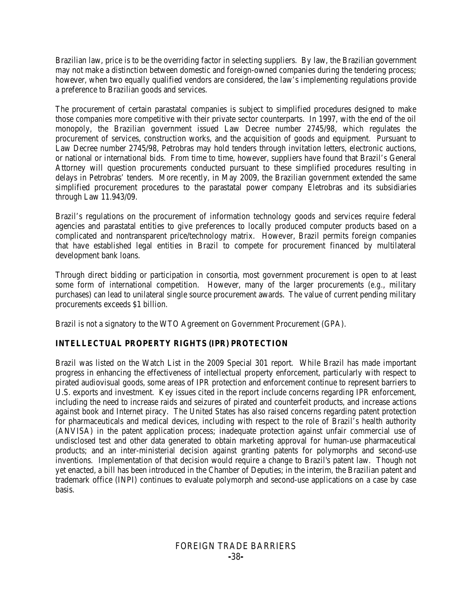Brazilian law, price is to be the overriding factor in selecting suppliers. By law, the Brazilian government may not make a distinction between domestic and foreign-owned companies during the tendering process; however, when two equally qualified vendors are considered, the law's implementing regulations provide a preference to Brazilian goods and services.

The procurement of certain parastatal companies is subject to simplified procedures designed to make those companies more competitive with their private sector counterparts. In 1997, with the end of the oil monopoly, the Brazilian government issued Law Decree number 2745/98, which regulates the procurement of services, construction works, and the acquisition of goods and equipment. Pursuant to Law Decree number 2745/98, Petrobras may hold tenders through invitation letters, electronic auctions, or national or international bids. From time to time, however, suppliers have found that Brazil's General Attorney will question procurements conducted pursuant to these simplified procedures resulting in delays in Petrobras' tenders. More recently, in May 2009, the Brazilian government extended the same simplified procurement procedures to the parastatal power company Eletrobras and its subsidiaries through Law 11.943/09.

Brazil's regulations on the procurement of information technology goods and services require federal agencies and parastatal entities to give preferences to locally produced computer products based on a complicated and nontransparent price/technology matrix. However, Brazil permits foreign companies that have established legal entities in Brazil to compete for procurement financed by multilateral development bank loans.

Through direct bidding or participation in consortia, most government procurement is open to at least some form of international competition. However, many of the larger procurements (*e.g.*, military purchases) can lead to unilateral single source procurement awards. The value of current pending military procurements exceeds \$1 billion.

Brazil is not a signatory to the WTO Agreement on Government Procurement (GPA).

# **INTELLECTUAL PROPERTY RIGHTS (IPR) PROTECTION**

Brazil was listed on the Watch List in the 2009 Special 301 report. While Brazil has made important progress in enhancing the effectiveness of intellectual property enforcement, particularly with respect to pirated audiovisual goods, some areas of IPR protection and enforcement continue to represent barriers to U.S. exports and investment. Key issues cited in the report include concerns regarding IPR enforcement, including the need to increase raids and seizures of pirated and counterfeit products, and increase actions against book and Internet piracy. The United States has also raised concerns regarding patent protection for pharmaceuticals and medical devices, including with respect to the role of Brazil's health authority (ANVISA) in the patent application process; inadequate protection against unfair commercial use of undisclosed test and other data generated to obtain marketing approval for human-use pharmaceutical products; and an inter-ministerial decision against granting patents for polymorphs and second-use inventions. Implementation of that decision would require a change to Brazil's patent law. Though not yet enacted, a bill has been introduced in the Chamber of Deputies; in the interim, the Brazilian patent and trademark office (INPI) continues to evaluate polymorph and second-use applications on a case by case basis.

# FOREIGN TRADE BARRIERS **-**38**-**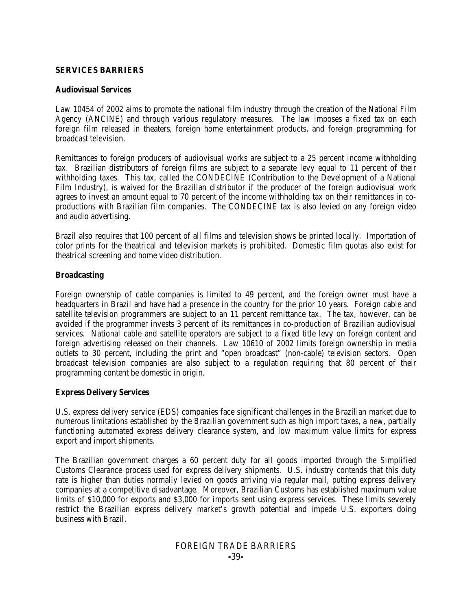#### **SERVICES BARRIERS**

#### **Audiovisual Services**

Law 10454 of 2002 aims to promote the national film industry through the creation of the National Film Agency (ANCINE) and through various regulatory measures. The law imposes a fixed tax on each foreign film released in theaters, foreign home entertainment products, and foreign programming for broadcast television.

Remittances to foreign producers of audiovisual works are subject to a 25 percent income withholding tax. Brazilian distributors of foreign films are subject to a separate levy equal to 11 percent of their withholding taxes. This tax, called the CONDECINE (Contribution to the Development of a National Film Industry), is waived for the Brazilian distributor if the producer of the foreign audiovisual work agrees to invest an amount equal to 70 percent of the income withholding tax on their remittances in coproductions with Brazilian film companies. The CONDECINE tax is also levied on any foreign video and audio advertising.

Brazil also requires that 100 percent of all films and television shows be printed locally. Importation of color prints for the theatrical and television markets is prohibited. Domestic film quotas also exist for theatrical screening and home video distribution.

#### **Broadcasting**

Foreign ownership of cable companies is limited to 49 percent, and the foreign owner must have a headquarters in Brazil and have had a presence in the country for the prior 10 years. Foreign cable and satellite television programmers are subject to an 11 percent remittance tax. The tax, however, can be avoided if the programmer invests 3 percent of its remittances in co-production of Brazilian audiovisual services. National cable and satellite operators are subject to a fixed title levy on foreign content and foreign advertising released on their channels. Law 10610 of 2002 limits foreign ownership in media outlets to 30 percent, including the print and "open broadcast" (non-cable) television sectors. Open broadcast television companies are also subject to a regulation requiring that 80 percent of their programming content be domestic in origin.

# **Express Delivery Services**

U.S. express delivery service (EDS) companies face significant challenges in the Brazilian market due to numerous limitations established by the Brazilian government such as high import taxes, a new, partially functioning automated express delivery clearance system, and low maximum value limits for express export and import shipments.

The Brazilian government charges a 60 percent duty for all goods imported through the Simplified Customs Clearance process used for express delivery shipments. U.S. industry contends that this duty rate is higher than duties normally levied on goods arriving via regular mail, putting express delivery companies at a competitive disadvantage. Moreover, Brazilian Customs has established maximum value limits of \$10,000 for exports and \$3,000 for imports sent using express services. These limits severely restrict the Brazilian express delivery market's growth potential and impede U.S. exporters doing business with Brazil.

# FOREIGN TRADE BARRIERS **-**39**-**